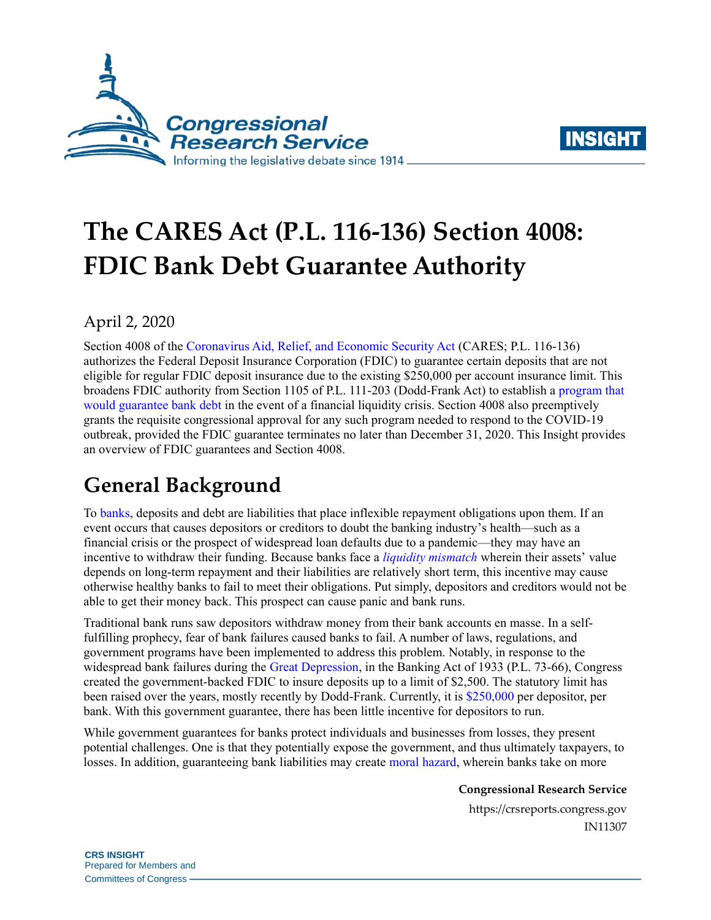



# **The CARES Act (P.L. 116-136) Section 4008: FDIC Bank Debt Guarantee Authority**

## April 2, 2020

Section 4008 of the [Coronavirus Aid, Relief, and Economic Security Act](https://www.congress.gov/bill/116th-congress/house-bill/748) (CARES; [P.L. 116-136\)](http://www.congress.gov/cgi-lis/bdquery/R?d116:FLD002:@1(116+136)) authorizes the Federal Deposit Insurance Corporation (FDIC) to guarantee certain deposits that are not eligible for regular FDIC deposit insurance due to the existing \$250,000 per account insurance limit. This broadens FDIC authority from Section 1105 of [P.L. 111-203](http://www.congress.gov/cgi-lis/bdquery/R?d111:FLD002:@1(111+203)) (Dodd-Frank Act) to establish a [program that](https://uscode.house.gov/view.xhtml?req=12+USC+5612&f=treesort&fq=true&num=2&hl=true&edition=prelim&granuleId=USC-prelim-title12-section5612)  [would guarantee bank debt](https://uscode.house.gov/view.xhtml?req=12+USC+5612&f=treesort&fq=true&num=2&hl=true&edition=prelim&granuleId=USC-prelim-title12-section5612) in the event of a financial liquidity crisis. Section 4008 also preemptively grants the requisite congressional approval for any such program needed to respond to the COVID-19 outbreak, provided the FDIC guarantee terminates no later than December 31, 2020. This Insight provides an overview of FDIC guarantees and Section 4008.

# **General Background**

To [banks,](https://crsreports.congress.gov/product/pdf/IF/IF10035) deposits and debt are liabilities that place inflexible repayment obligations upon them. If an event occurs that causes depositors or creditors to doubt the banking industry's health—such as a financial crisis or the prospect of widespread loan defaults due to a pandemic—they may have an incentive to withdraw their funding. Because banks face a *[liquidity mismatch](https://www.nber.org/papers/w22729)* wherein their assets' value depends on long-term repayment and their liabilities are relatively short term, this incentive may cause otherwise healthy banks to fail to meet their obligations. Put simply, depositors and creditors would not be able to get their money back. This prospect can cause panic and bank runs.

Traditional bank runs saw depositors withdraw money from their bank accounts en masse. In a selffulfilling prophecy, fear of bank failures caused banks to fail. A number of laws, regulations, and government programs have been implemented to address this problem. Notably, in response to the widespread bank failures during the [Great Depression,](https://www.fdic.gov/about/history/timeline/1930s.html) in the Banking Act of 1933 (P.L. 73-66), Congress created the government-backed FDIC to insure deposits up to a limit of \$2,500. The statutory limit has been raised over the years, mostly recently by Dodd-Frank. Currently, it is [\\$250,000](https://www.fdic.gov/deposit/covered/categories.html) per depositor, per bank. With this government guarantee, there has been little incentive for depositors to run.

While government guarantees for banks protect individuals and businesses from losses, they present potential challenges. One is that they potentially expose the government, and thus ultimately taxpayers, to losses. In addition, guaranteeing bank liabilities may create [moral hazard,](https://www.imf.org/External/NP/seminars/eng/2006/mfl/pam.pdf) wherein banks take on more

**Congressional Research Service**

https://crsreports.congress.gov IN11307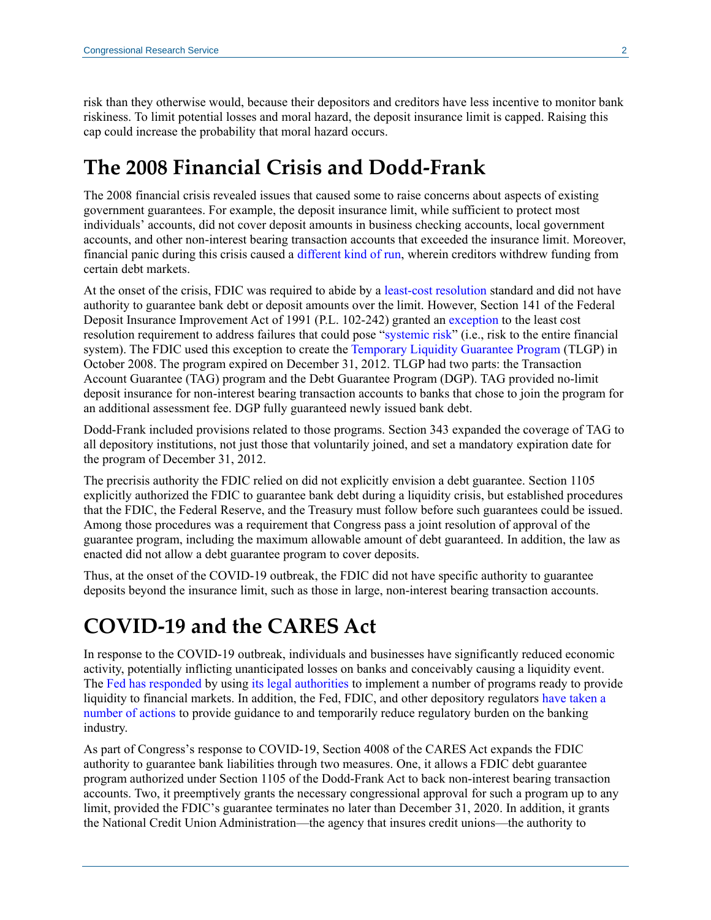risk than they otherwise would, because their depositors and creditors have less incentive to monitor bank riskiness. To limit potential losses and moral hazard, the deposit insurance limit is capped. Raising this cap could increase the probability that moral hazard occurs.

## **The 2008 Financial Crisis and Dodd-Frank**

The 2008 financial crisis revealed issues that caused some to raise concerns about aspects of existing government guarantees. For example, the deposit insurance limit, while sufficient to protect most individuals' accounts, did not cover deposit amounts in business checking accounts, local government accounts, and other non-interest bearing transaction accounts that exceeded the insurance limit. Moreover, financial panic during this crisis caused a different [kind of run,](https://www.nber.org/papers/w15223) wherein creditors withdrew funding from certain debt markets.

At the onset of the crisis, FDIC was required to abide by a [least-cost resolution](https://www.fdic.gov/regulations/laws/rules/2000-7800.html#fdic2000part360.1) standard and did not have authority to guarantee bank debt or deposit amounts over the limit. However, Section 141 of the Federal Deposit Insurance Improvement Act of 1991 [\(P.L. 102-242\)](http://www.congress.gov/cgi-lis/bdquery/R?d102:FLD002:@1(102+242)) granted an [exception](https://www.fdic.gov/bank/historical/crisis/chap2.pdf) to the least cost resolution requirement to address failures that could pose ["systemic risk"](https://crsreports.congress.gov/product/pdf/IF/IF10700) (i.e., risk to the entire financial system). The FDIC used this exception to create the [Temporary Liquidity Guarantee Program](https://www.fdic.gov/regulations/resources/tlgp/index.html) (TLGP) in October 2008. The program expired on December 31, 2012. TLGP had two parts: the Transaction Account Guarantee (TAG) program and the Debt Guarantee Program (DGP). TAG provided no-limit deposit insurance for non-interest bearing transaction accounts to banks that chose to join the program for an additional assessment fee. DGP fully guaranteed newly issued bank debt.

Dodd-Frank included provisions related to those programs. Section 343 expanded the coverage of TAG to all depository institutions, not just those that voluntarily joined, and set a mandatory expiration date for the program of December 31, 2012.

The precrisis authority the FDIC relied on did not explicitly envision a debt guarantee. Section 1105 explicitly authorized the FDIC to guarantee bank debt during a liquidity crisis, but established procedures that the FDIC, the Federal Reserve, and the Treasury must follow before such guarantees could be issued. Among those procedures was a requirement that Congress pass a joint resolution of approval of the guarantee program, including the maximum allowable amount of debt guaranteed. In addition, the law as enacted did not allow a debt guarantee program to cover deposits.

Thus, at the onset of the COVID-19 outbreak, the FDIC did not have specific authority to guarantee deposits beyond the insurance limit, such as those in large, non-interest bearing transaction accounts.

## **COVID-19 and the CARES Act**

In response to the COVID-19 outbreak, individuals and businesses have significantly reduced economic activity, potentially inflicting unanticipated losses on banks and conceivably causing a liquidity event. The [Fed has responded](https://crsreports.congress.gov/product/pdf/IN/IN11259) by using its [legal authorities](https://crsreports.congress.gov/product/pdf/LSB/LSB10435) to implement a number of programs ready to provide liquidity to financial markets. In addition, the Fed, FDIC, and other depository regulators [have taken a](https://crsreports.congress.gov/product/pdf/IN/IN11278)  [number of actions](https://crsreports.congress.gov/product/pdf/IN/IN11278) to provide guidance to and temporarily reduce regulatory burden on the banking industry.

As part of Congress's response to COVID-19, Section 4008 of the CARES Act expands the FDIC authority to guarantee bank liabilities through two measures. One, it allows a FDIC debt guarantee program authorized under Section 1105 of the Dodd-Frank Act to back non-interest bearing transaction accounts. Two, it preemptively grants the necessary congressional approval for such a program up to any limit, provided the FDIC's guarantee terminates no later than December 31, 2020. In addition, it grants the National Credit Union Administration—the agency that insures credit unions—the authority to